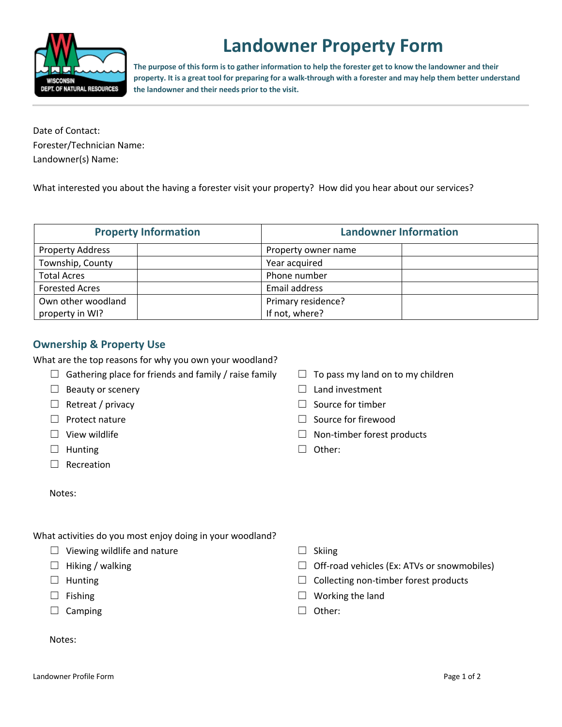

# **Landowner Property Form**

**The purpose of this form is to gather information to help the forester get to know the landowner and their property. It is a great tool for preparing for a walk-through with a forester and may help them better understand the landowner and their needs prior to the visit.**

Date of Contact: Forester/Technician Name: Landowner(s) Name:

What interested you about the having a forester visit your property? How did you hear about our services?

| <b>Property Information</b><br><b>Landowner Information</b> |                     |  |
|-------------------------------------------------------------|---------------------|--|
| <b>Property Address</b>                                     | Property owner name |  |
| Township, County                                            | Year acquired       |  |
| <b>Total Acres</b>                                          | Phone number        |  |
| <b>Forested Acres</b>                                       | Email address       |  |
| Own other woodland                                          | Primary residence?  |  |
| property in WI?                                             | If not, where?      |  |

## **Ownership & Property Use**

What are the top reasons for why you own your woodland?

- $\Box$  Gathering place for friends and family / raise family
- $\Box$  Beauty or scenery
- ☐ Retreat / privacy
- ☐ Protect nature
- $\Box$  View wildlife
- □ Hunting
- ☐ Recreation
- Notes:
- $\Box$  To pass my land on to my children
- $\Box$  Land investment
- □ Source for timber
- □ Source for firewood
- $\Box$  Non-timber forest products
- ☐ Other:

- What activities do you most enjoy doing in your woodland?
	- $\Box$  Viewing wildlife and nature
	- $\Box$  Hiking / walking
	- □ Hunting
	- ☐ Fishing
	- □ Camping
- $\Box$  Skiing
- $\Box$  Off-road vehicles (Ex: ATVs or snowmobiles)
- $\Box$  Collecting non-timber forest products
- $\Box$  Working the land
- ☐ Other:

Notes: